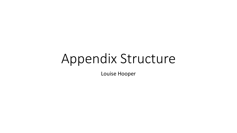# Appendix Structure

Louise Hooper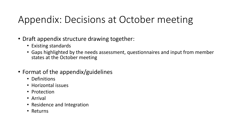# Appendix: Decisions at October meeting

- Draft appendix structure drawing together:
	- Existing standards
	- Gaps highlighted by the needs assessment, questionnaires and input from member states at the October meeting
- Format of the appendix/guidelines
	- Definitions
	- Horizontal issues
	- Protection
	- Arrival
	- Residence and Integration
	- Returns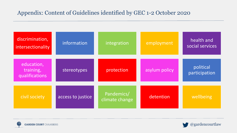#### Appendix: Content of Guidelines identified by GEC 1-2 October 2020

| discrimination,<br>intersectionality      | information       | integration                  | employment    | health and<br>social services |
|-------------------------------------------|-------------------|------------------------------|---------------|-------------------------------|
| education,<br>training,<br>qualifications | stereotypes       | protection                   | asylum policy | political<br>participation    |
| civil society                             | access to justice | Pandemics/<br>climate change | detention     | wellbeing                     |



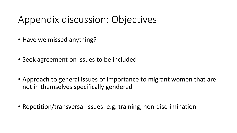# Appendix discussion: Objectives

- Have we missed anything?
- Seek agreement on issues to be included
- Approach to general issues of importance to migrant women that are not in themselves specifically gendered
- Repetition/transversal issues: e.g. training, non-discrimination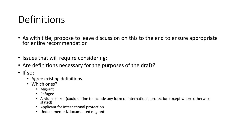# **Definitions**

- As with title, propose to leave discussion on this to the end to ensure appropriate for entire recommendation
- Issues that will require considering:
- Are definitions necessary for the purposes of the draft?
- If so:
	- Agree existing definitions.
	- Which ones?
		- Migrant
		- Refugee
		- Asylum seeker (could define to include any form of international protection except where otherwise stated)
		- Applicant for international protection
		- Undocumented/documented migrant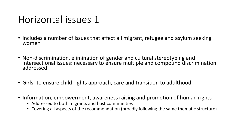### Horizontal issues 1

- Includes a number of issues that affect all migrant, refugee and asylum seeking women
- Non-discrimination, elimination of gender and cultural stereotyping and intersectional issues: necessary to ensure multiple and compound discrimination addressed
- Girls- to ensure child rights approach, care and transition to adulthood
- Information, empowerment, awareness raising and promotion of human rights
	- Addressed to both migrants and host communities
	- Covering all aspects of the recommendation (broadly following the same thematic structure)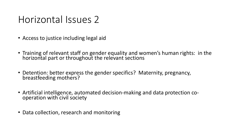### Horizontal Issues 2

- Access to justice including legal aid
- Training of relevant staff on gender equality and women's human rights: in the horizontal part or throughout the relevant sections
- Detention: better express the gender specifics? Maternity, pregnancy, breastfeeding mothers?
- Artificial intelligence, automated decision-making and data protection cooperation with civil society
- Data collection, research and monitoring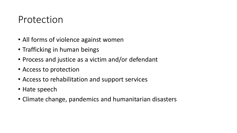#### Protection

- All forms of violence against women
- Trafficking in human beings
- Process and justice as a victim and/or defendant
- Access to protection
- Access to rehabilitation and support services
- Hate speech
- Climate change, pandemics and humanitarian disasters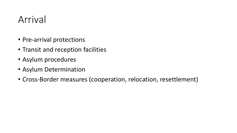### Arrival

- Pre-arrival protections
- Transit and reception facilities
- Asylum procedures
- Asylum Determination
- Cross-Border measures (cooperation, relocation, resettlement)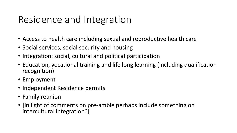# Residence and Integration

- Access to health care including sexual and reproductive health care
- Social services, social security and housing
- Integration: social, cultural and political participation
- Education, vocational training and life long learning (including qualification recognition)
- Employment
- Independent Residence permits
- Family reunion
- [in light of comments on pre-amble perhaps include something on intercultural integration?]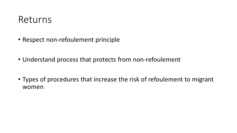#### Returns

- Respect non-refoulement principle
- Understand process that protects from non-refoulement
- Types of procedures that increase the risk of refoulement to migrant women